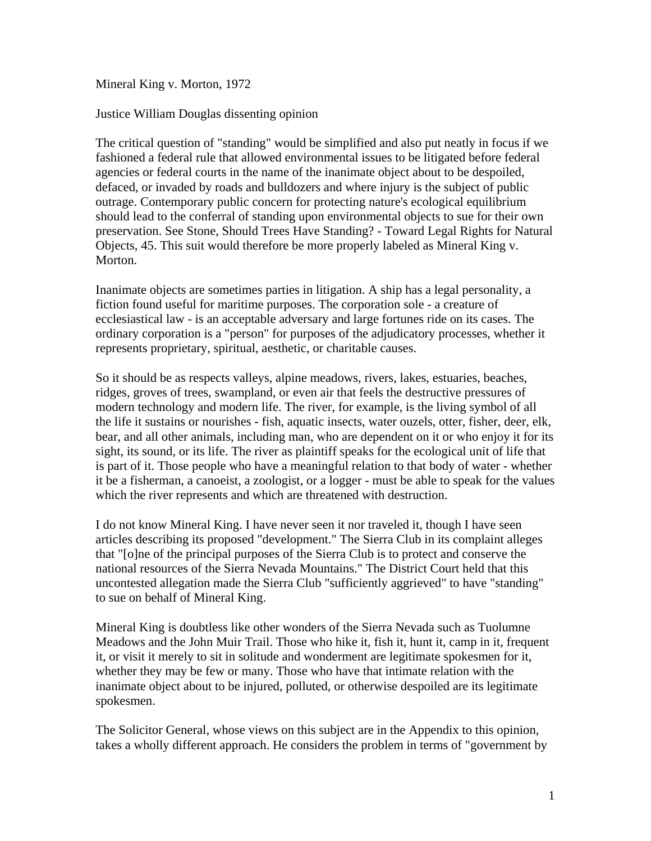Mineral King v. Morton, 1972

Justice William Douglas dissenting opinion

The critical question of "standing" would be simplified and also put neatly in focus if we fashioned a federal rule that allowed environmental issues to be litigated before federal agencies or federal courts in the name of the inanimate object about to be despoiled, defaced, or invaded by roads and bulldozers and where injury is the subject of public outrage. Contemporary public concern for protecting nature's ecological equilibrium should lead to the conferral of standing upon environmental objects to sue for their own preservation. See Stone, Should Trees Have Standing? - Toward Legal Rights for Natural Objects, 45. This suit would therefore be more properly labeled as Mineral King v. Morton.

Inanimate objects are sometimes parties in litigation. A ship has a legal personality, a fiction found useful for maritime purposes. The corporation sole - a creature of ecclesiastical law - is an acceptable adversary and large fortunes ride on its cases. The ordinary corporation is a "person" for purposes of the adjudicatory processes, whether it represents proprietary, spiritual, aesthetic, or charitable causes.

So it should be as respects valleys, alpine meadows, rivers, lakes, estuaries, beaches, ridges, groves of trees, swampland, or even air that feels the destructive pressures of modern technology and modern life. The river, for example, is the living symbol of all the life it sustains or nourishes - fish, aquatic insects, water ouzels, otter, fisher, deer, elk, bear, and all other animals, including man, who are dependent on it or who enjoy it for its sight, its sound, or its life. The river as plaintiff speaks for the ecological unit of life that is part of it. Those people who have a meaningful relation to that body of water - whether it be a fisherman, a canoeist, a zoologist, or a logger - must be able to speak for the values which the river represents and which are threatened with destruction.

I do not know Mineral King. I have never seen it nor traveled it, though I have seen articles describing its proposed "development." The Sierra Club in its complaint alleges that "[o]ne of the principal purposes of the Sierra Club is to protect and conserve the national resources of the Sierra Nevada Mountains." The District Court held that this uncontested allegation made the Sierra Club "sufficiently aggrieved" to have "standing" to sue on behalf of Mineral King.

Mineral King is doubtless like other wonders of the Sierra Nevada such as Tuolumne Meadows and the John Muir Trail. Those who hike it, fish it, hunt it, camp in it, frequent it, or visit it merely to sit in solitude and wonderment are legitimate spokesmen for it, whether they may be few or many. Those who have that intimate relation with the inanimate object about to be injured, polluted, or otherwise despoiled are its legitimate spokesmen.

The Solicitor General, whose views on this subject are in the Appendix to this opinion, takes a wholly different approach. He considers the problem in terms of "government by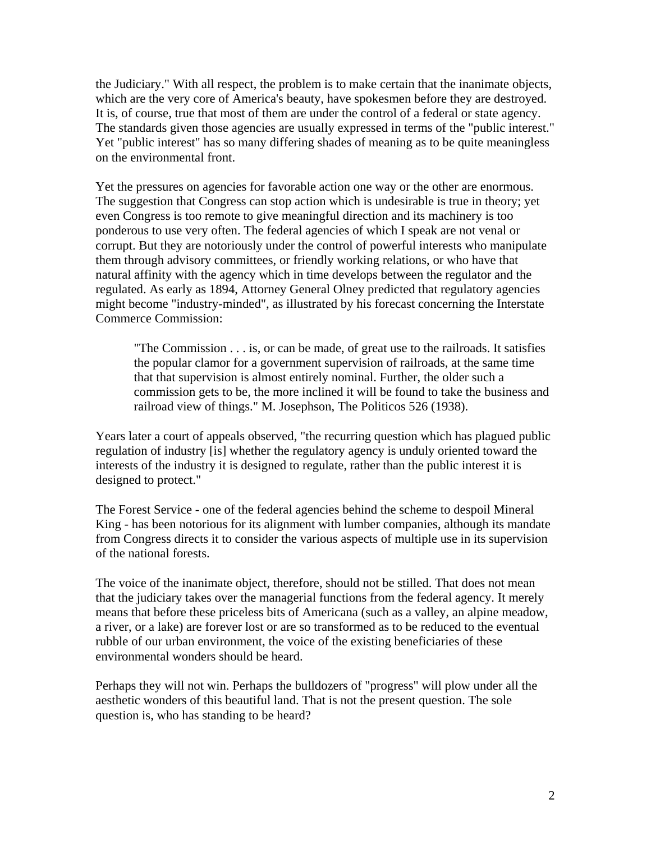the Judiciary." With all respect, the problem is to make certain that the inanimate objects, which are the very core of America's beauty, have spokesmen before they are destroyed. It is, of course, true that most of them are under the control of a federal or state agency. The standards given those agencies are usually expressed in terms of the "public interest." Yet "public interest" has so many differing shades of meaning as to be quite meaningless on the environmental front.

Yet the pressures on agencies for favorable action one way or the other are enormous. The suggestion that Congress can stop action which is undesirable is true in theory; yet even Congress is too remote to give meaningful direction and its machinery is too ponderous to use very often. The federal agencies of which I speak are not venal or corrupt. But they are notoriously under the control of powerful interests who manipulate them through advisory committees, or friendly working relations, or who have that natural affinity with the agency which in time develops between the regulator and the regulated. As early as 1894, Attorney General Olney predicted that regulatory agencies might become "industry-minded", as illustrated by his forecast concerning the Interstate Commerce Commission:

"The Commission . . . is, or can be made, of great use to the railroads. It satisfies the popular clamor for a government supervision of railroads, at the same time that that supervision is almost entirely nominal. Further, the older such a commission gets to be, the more inclined it will be found to take the business and railroad view of things." M. Josephson, The Politicos 526 (1938).

Years later a court of appeals observed, "the recurring question which has plagued public regulation of industry [is] whether the regulatory agency is unduly oriented toward the interests of the industry it is designed to regulate, rather than the public interest it is designed to protect."

The Forest Service - one of the federal agencies behind the scheme to despoil Mineral King - has been notorious for its alignment with lumber companies, although its mandate from Congress directs it to consider the various aspects of multiple use in its supervision of the national forests.

The voice of the inanimate object, therefore, should not be stilled. That does not mean that the judiciary takes over the managerial functions from the federal agency. It merely means that before these priceless bits of Americana (such as a valley, an alpine meadow, a river, or a lake) are forever lost or are so transformed as to be reduced to the eventual rubble of our urban environment, the voice of the existing beneficiaries of these environmental wonders should be heard.

Perhaps they will not win. Perhaps the bulldozers of "progress" will plow under all the aesthetic wonders of this beautiful land. That is not the present question. The sole question is, who has standing to be heard?